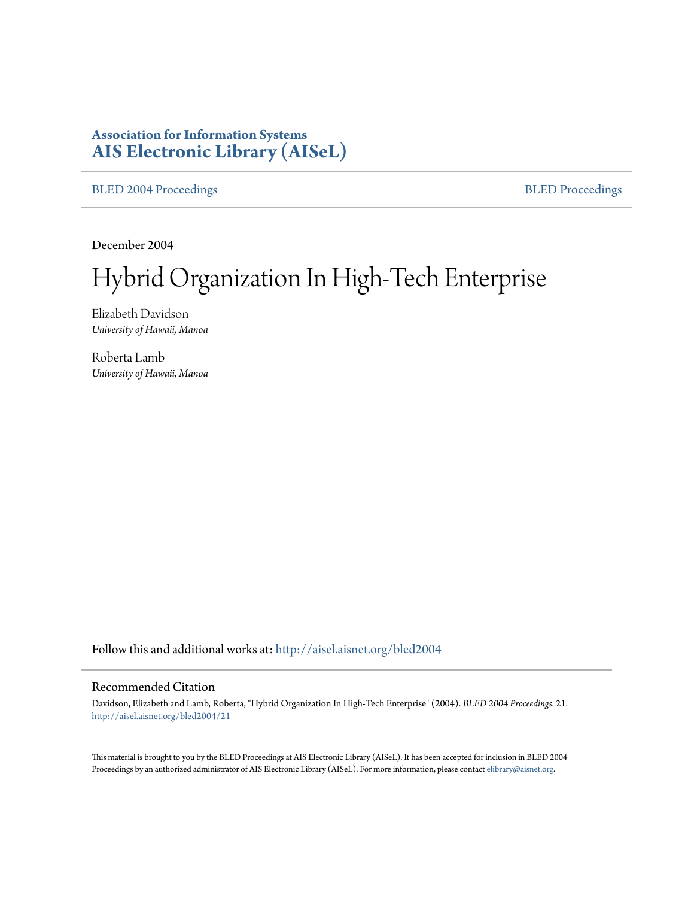# **Association for Information Systems [AIS Electronic Library \(AISeL\)](http://aisel.aisnet.org?utm_source=aisel.aisnet.org%2Fbled2004%2F21&utm_medium=PDF&utm_campaign=PDFCoverPages)**

[BLED 2004 Proceedings](http://aisel.aisnet.org/bled2004?utm_source=aisel.aisnet.org%2Fbled2004%2F21&utm_medium=PDF&utm_campaign=PDFCoverPages) **[BLED Proceedings](http://aisel.aisnet.org/bled?utm_source=aisel.aisnet.org%2Fbled2004%2F21&utm_medium=PDF&utm_campaign=PDFCoverPages)** 

December 2004

# Hybrid Organization In High-Tech Enterprise

Elizabeth Davidson *University of Hawaii, Manoa*

Roberta Lamb *University of Hawaii, Manoa*

Follow this and additional works at: [http://aisel.aisnet.org/bled2004](http://aisel.aisnet.org/bled2004?utm_source=aisel.aisnet.org%2Fbled2004%2F21&utm_medium=PDF&utm_campaign=PDFCoverPages)

#### Recommended Citation

Davidson, Elizabeth and Lamb, Roberta, "Hybrid Organization In High-Tech Enterprise" (2004). *BLED 2004 Proceedings*. 21. [http://aisel.aisnet.org/bled2004/21](http://aisel.aisnet.org/bled2004/21?utm_source=aisel.aisnet.org%2Fbled2004%2F21&utm_medium=PDF&utm_campaign=PDFCoverPages)

This material is brought to you by the BLED Proceedings at AIS Electronic Library (AISeL). It has been accepted for inclusion in BLED 2004 Proceedings by an authorized administrator of AIS Electronic Library (AISeL). For more information, please contact [elibrary@aisnet.org](mailto:elibrary@aisnet.org%3E).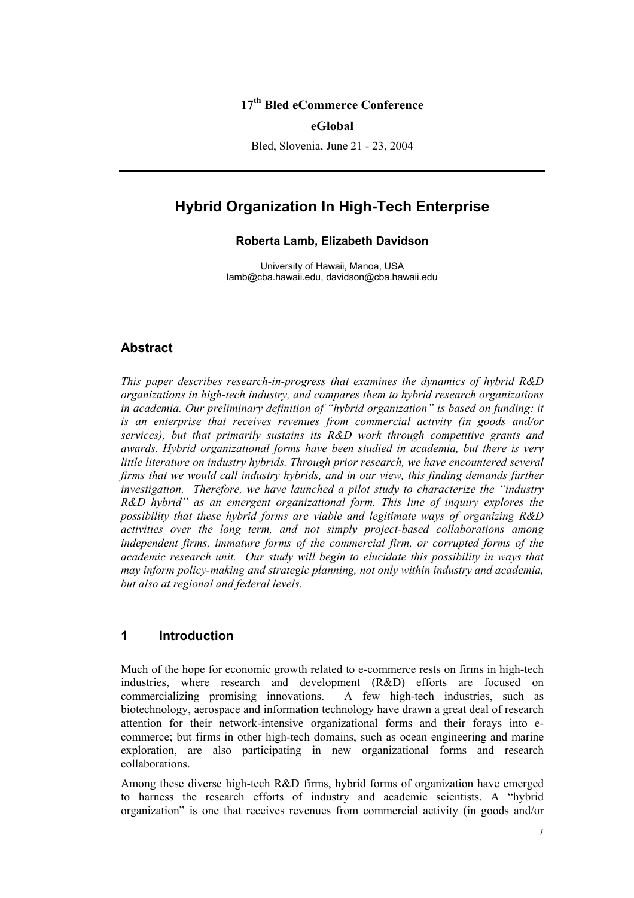## **17th Bled eCommerce Conference**

**eGlobal** 

Bled, Slovenia, June 21 - 23, 2004

# **Hybrid Organization In High-Tech Enterprise**

#### **Roberta Lamb, Elizabeth Davidson**

University of Hawaii, Manoa, USA lamb@cba.hawaii.edu, davidson@cba.hawaii.edu

#### **Abstract**

*This paper describes research-in-progress that examines the dynamics of hybrid R&D organizations in high-tech industry, and compares them to hybrid research organizations in academia. Our preliminary definition of "hybrid organization" is based on funding: it is an enterprise that receives revenues from commercial activity (in goods and/or services), but that primarily sustains its R&D work through competitive grants and awards. Hybrid organizational forms have been studied in academia, but there is very little literature on industry hybrids. Through prior research, we have encountered several firms that we would call industry hybrids, and in our view, this finding demands further investigation. Therefore, we have launched a pilot study to characterize the "industry R&D hybrid" as an emergent organizational form. This line of inquiry explores the possibility that these hybrid forms are viable and legitimate ways of organizing R&D activities over the long term, and not simply project-based collaborations among independent firms, immature forms of the commercial firm, or corrupted forms of the academic research unit. Our study will begin to elucidate this possibility in ways that may inform policy-making and strategic planning, not only within industry and academia, but also at regional and federal levels.* 

# **1 Introduction**

Much of the hope for economic growth related to e-commerce rests on firms in high-tech industries, where research and development (R&D) efforts are focused on commercializing promising innovations. A few high-tech industries, such as biotechnology, aerospace and information technology have drawn a great deal of research attention for their network-intensive organizational forms and their forays into ecommerce; but firms in other high-tech domains, such as ocean engineering and marine exploration, are also participating in new organizational forms and research collaborations.

Among these diverse high-tech R&D firms, hybrid forms of organization have emerged to harness the research efforts of industry and academic scientists. A "hybrid organization" is one that receives revenues from commercial activity (in goods and/or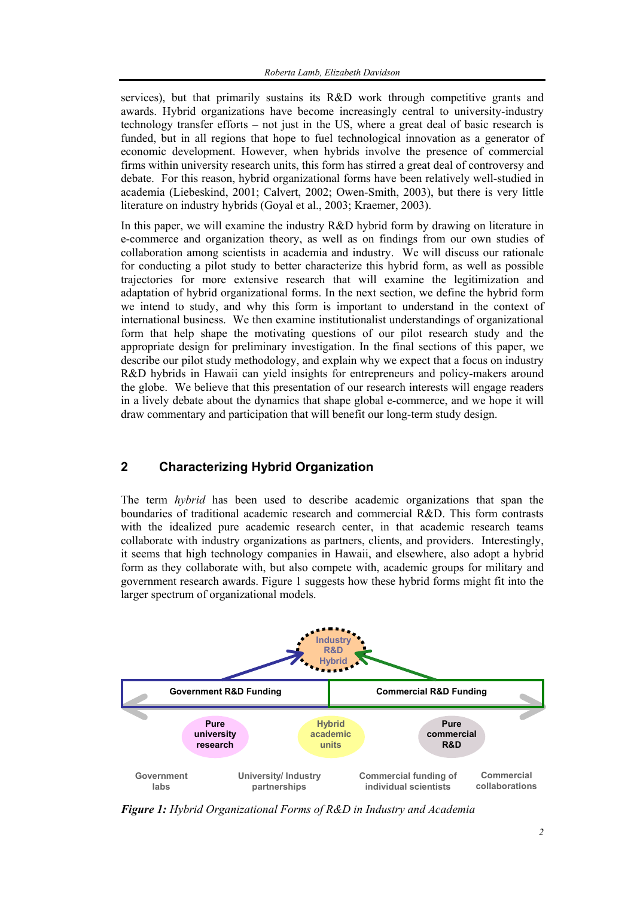services), but that primarily sustains its R&D work through competitive grants and awards. Hybrid organizations have become increasingly central to university-industry technology transfer efforts – not just in the US, where a great deal of basic research is funded, but in all regions that hope to fuel technological innovation as a generator of economic development. However, when hybrids involve the presence of commercial firms within university research units, this form has stirred a great deal of controversy and debate. For this reason, hybrid organizational forms have been relatively well-studied in academia (Liebeskind, 2001; Calvert, 2002; Owen-Smith, 2003), but there is very little literature on industry hybrids (Goyal et al., 2003; Kraemer, 2003).

In this paper, we will examine the industry R&D hybrid form by drawing on literature in e-commerce and organization theory, as well as on findings from our own studies of collaboration among scientists in academia and industry. We will discuss our rationale for conducting a pilot study to better characterize this hybrid form, as well as possible trajectories for more extensive research that will examine the legitimization and adaptation of hybrid organizational forms. In the next section, we define the hybrid form we intend to study, and why this form is important to understand in the context of international business. We then examine institutionalist understandings of organizational form that help shape the motivating questions of our pilot research study and the appropriate design for preliminary investigation. In the final sections of this paper, we describe our pilot study methodology, and explain why we expect that a focus on industry R&D hybrids in Hawaii can yield insights for entrepreneurs and policy-makers around the globe. We believe that this presentation of our research interests will engage readers in a lively debate about the dynamics that shape global e-commerce, and we hope it will draw commentary and participation that will benefit our long-term study design.

# **2 Characterizing Hybrid Organization**

The term *hybrid* has been used to describe academic organizations that span the boundaries of traditional academic research and commercial R&D. This form contrasts with the idealized pure academic research center, in that academic research teams collaborate with industry organizations as partners, clients, and providers. Interestingly, it seems that high technology companies in Hawaii, and elsewhere, also adopt a hybrid form as they collaborate with, but also compete with, academic groups for military and government research awards. Figure 1 suggests how these hybrid forms might fit into the larger spectrum of organizational models.



*Figure 1: Hybrid Organizational Forms of R&D in Industry and Academia*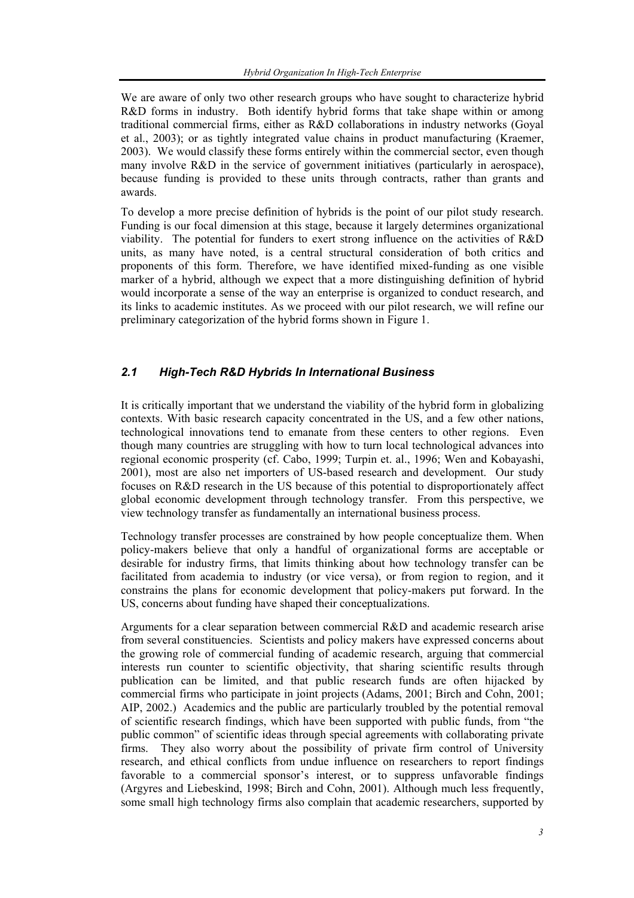We are aware of only two other research groups who have sought to characterize hybrid R&D forms in industry. Both identify hybrid forms that take shape within or among traditional commercial firms, either as R&D collaborations in industry networks (Goyal et al., 2003); or as tightly integrated value chains in product manufacturing (Kraemer, 2003). We would classify these forms entirely within the commercial sector, even though many involve R&D in the service of government initiatives (particularly in aerospace), because funding is provided to these units through contracts, rather than grants and awards.

To develop a more precise definition of hybrids is the point of our pilot study research. Funding is our focal dimension at this stage, because it largely determines organizational viability. The potential for funders to exert strong influence on the activities of R&D units, as many have noted, is a central structural consideration of both critics and proponents of this form. Therefore, we have identified mixed-funding as one visible marker of a hybrid, although we expect that a more distinguishing definition of hybrid would incorporate a sense of the way an enterprise is organized to conduct research, and its links to academic institutes. As we proceed with our pilot research, we will refine our preliminary categorization of the hybrid forms shown in Figure 1.

### *2.1 High-Tech R&D Hybrids In International Business*

It is critically important that we understand the viability of the hybrid form in globalizing contexts. With basic research capacity concentrated in the US, and a few other nations, technological innovations tend to emanate from these centers to other regions. Even though many countries are struggling with how to turn local technological advances into regional economic prosperity (cf. Cabo, 1999; Turpin et. al., 1996; Wen and Kobayashi, 2001), most are also net importers of US-based research and development. Our study focuses on R&D research in the US because of this potential to disproportionately affect global economic development through technology transfer. From this perspective, we view technology transfer as fundamentally an international business process.

Technology transfer processes are constrained by how people conceptualize them. When policy-makers believe that only a handful of organizational forms are acceptable or desirable for industry firms, that limits thinking about how technology transfer can be facilitated from academia to industry (or vice versa), or from region to region, and it constrains the plans for economic development that policy-makers put forward. In the US, concerns about funding have shaped their conceptualizations.

Arguments for a clear separation between commercial R&D and academic research arise from several constituencies. Scientists and policy makers have expressed concerns about the growing role of commercial funding of academic research, arguing that commercial interests run counter to scientific objectivity, that sharing scientific results through publication can be limited, and that public research funds are often hijacked by commercial firms who participate in joint projects (Adams, 2001; Birch and Cohn, 2001; AIP, 2002.) Academics and the public are particularly troubled by the potential removal of scientific research findings, which have been supported with public funds, from "the public common" of scientific ideas through special agreements with collaborating private firms. They also worry about the possibility of private firm control of University research, and ethical conflicts from undue influence on researchers to report findings favorable to a commercial sponsor's interest, or to suppress unfavorable findings (Argyres and Liebeskind, 1998; Birch and Cohn, 2001). Although much less frequently, some small high technology firms also complain that academic researchers, supported by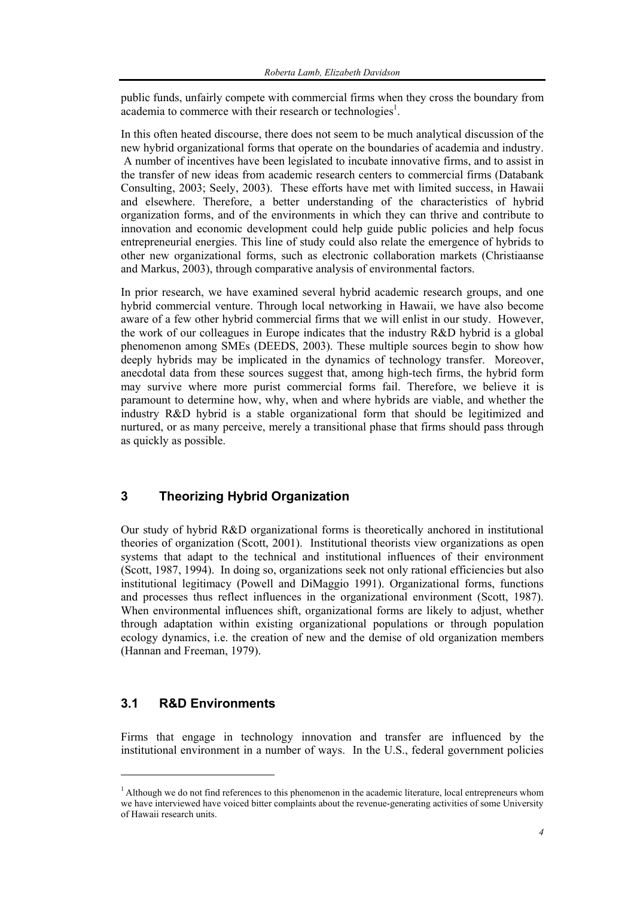public funds, unfairly compete with commercial firms when they cross the boundary from  $\alpha$ cademia to commerce with their research or technologies<sup>1</sup>.

In this often heated discourse, there does not seem to be much analytical discussion of the new hybrid organizational forms that operate on the boundaries of academia and industry. A number of incentives have been legislated to incubate innovative firms, and to assist in the transfer of new ideas from academic research centers to commercial firms (Databank Consulting, 2003; Seely, 2003). These efforts have met with limited success, in Hawaii and elsewhere. Therefore, a better understanding of the characteristics of hybrid organization forms, and of the environments in which they can thrive and contribute to innovation and economic development could help guide public policies and help focus entrepreneurial energies. This line of study could also relate the emergence of hybrids to other new organizational forms, such as electronic collaboration markets (Christiaanse and Markus, 2003), through comparative analysis of environmental factors.

In prior research, we have examined several hybrid academic research groups, and one hybrid commercial venture. Through local networking in Hawaii, we have also become aware of a few other hybrid commercial firms that we will enlist in our study. However, the work of our colleagues in Europe indicates that the industry R&D hybrid is a global phenomenon among SMEs (DEEDS, 2003). These multiple sources begin to show how deeply hybrids may be implicated in the dynamics of technology transfer. Moreover, anecdotal data from these sources suggest that, among high-tech firms, the hybrid form may survive where more purist commercial forms fail. Therefore, we believe it is paramount to determine how, why, when and where hybrids are viable, and whether the industry R&D hybrid is a stable organizational form that should be legitimized and nurtured, or as many perceive, merely a transitional phase that firms should pass through as quickly as possible.

#### **3 Theorizing Hybrid Organization**

Our study of hybrid R&D organizational forms is theoretically anchored in institutional theories of organization (Scott, 2001). Institutional theorists view organizations as open systems that adapt to the technical and institutional influences of their environment (Scott, 1987, 1994). In doing so, organizations seek not only rational efficiencies but also institutional legitimacy (Powell and DiMaggio 1991). Organizational forms, functions and processes thus reflect influences in the organizational environment (Scott, 1987). When environmental influences shift, organizational forms are likely to adjust, whether through adaptation within existing organizational populations or through population ecology dynamics, i.e. the creation of new and the demise of old organization members (Hannan and Freeman, 1979).

#### **3.1 R&D Environments**

l

Firms that engage in technology innovation and transfer are influenced by the institutional environment in a number of ways. In the U.S., federal government policies

<sup>&</sup>lt;sup>1</sup> Although we do not find references to this phenomenon in the academic literature, local entrepreneurs whom we have interviewed have voiced bitter complaints about the revenue-generating activities of some University of Hawaii research units.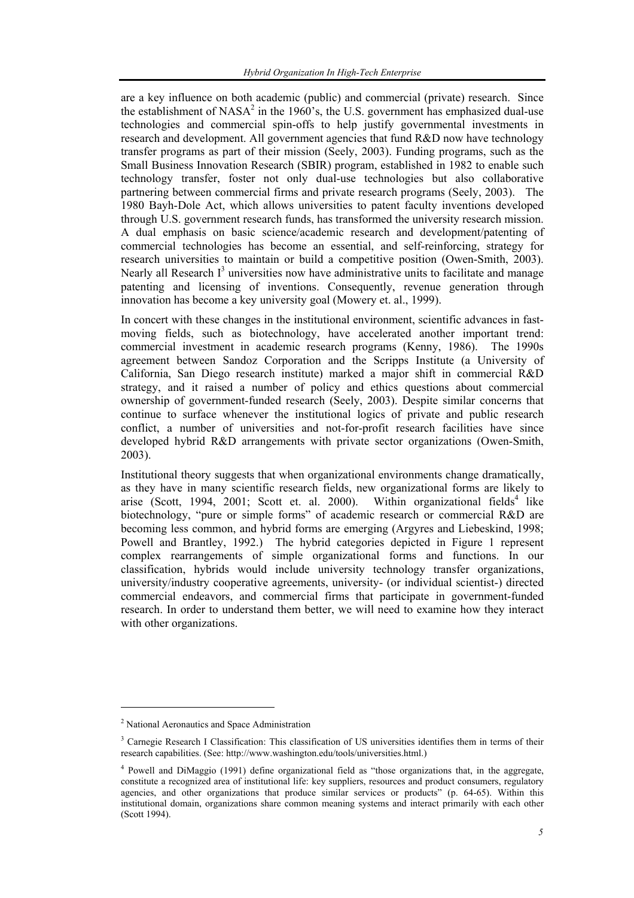are a key influence on both academic (public) and commercial (private) research. Since the establishment of NASA<sup>2</sup> in the 1960's, the U.S. government has emphasized dual-use technologies and commercial spin-offs to help justify governmental investments in research and development. All government agencies that fund R&D now have technology transfer programs as part of their mission (Seely, 2003). Funding programs, such as the Small Business Innovation Research (SBIR) program, established in 1982 to enable such technology transfer, foster not only dual-use technologies but also collaborative partnering between commercial firms and private research programs (Seely, 2003). The 1980 Bayh-Dole Act, which allows universities to patent faculty inventions developed through U.S. government research funds, has transformed the university research mission. A dual emphasis on basic science/academic research and development/patenting of commercial technologies has become an essential, and self-reinforcing, strategy for research universities to maintain or build a competitive position (Owen-Smith, 2003). Nearly all Research  $I<sup>3</sup>$  universities now have administrative units to facilitate and manage patenting and licensing of inventions. Consequently, revenue generation through innovation has become a key university goal (Mowery et. al., 1999).

In concert with these changes in the institutional environment, scientific advances in fastmoving fields, such as biotechnology, have accelerated another important trend: commercial investment in academic research programs (Kenny, 1986). The 1990s agreement between Sandoz Corporation and the Scripps Institute (a University of California, San Diego research institute) marked a major shift in commercial R&D strategy, and it raised a number of policy and ethics questions about commercial ownership of government-funded research (Seely, 2003). Despite similar concerns that continue to surface whenever the institutional logics of private and public research conflict, a number of universities and not-for-profit research facilities have since developed hybrid R&D arrangements with private sector organizations (Owen-Smith, 2003).

Institutional theory suggests that when organizational environments change dramatically, as they have in many scientific research fields, new organizational forms are likely to arise (Scott, 1994, 2001; Scott et. al. 2000). Within organizational fields<sup>4</sup> like biotechnology, "pure or simple forms" of academic research or commercial R&D are becoming less common, and hybrid forms are emerging (Argyres and Liebeskind, 1998; Powell and Brantley, 1992.) The hybrid categories depicted in Figure 1 represent complex rearrangements of simple organizational forms and functions. In our classification, hybrids would include university technology transfer organizations, university/industry cooperative agreements, university- (or individual scientist-) directed commercial endeavors, and commercial firms that participate in government-funded research. In order to understand them better, we will need to examine how they interact with other organizations.

 $\overline{\phantom{a}}$ 

<sup>&</sup>lt;sup>2</sup> National Aeronautics and Space Administration

<sup>&</sup>lt;sup>3</sup> Carnegie Research I Classification: This classification of US universities identifies them in terms of their research capabilities. (See: http://www.washington.edu/tools/universities.html.)

<sup>4</sup> Powell and DiMaggio (1991) define organizational field as "those organizations that, in the aggregate, constitute a recognized area of institutional life: key suppliers, resources and product consumers, regulatory agencies, and other organizations that produce similar services or products" (p. 64-65). Within this institutional domain, organizations share common meaning systems and interact primarily with each other (Scott 1994).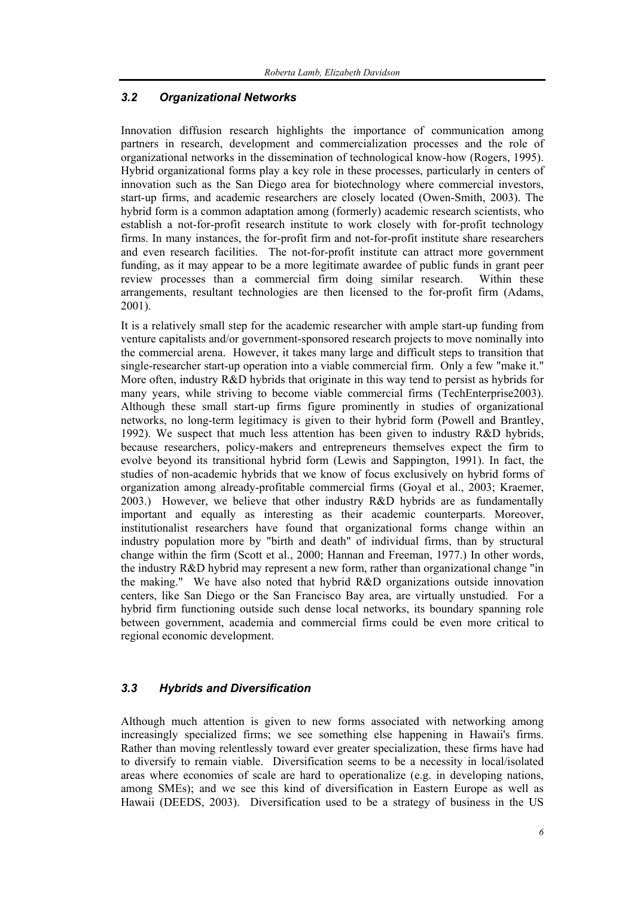#### *3.2 Organizational Networks*

Innovation diffusion research highlights the importance of communication among partners in research, development and commercialization processes and the role of organizational networks in the dissemination of technological know-how (Rogers, 1995). Hybrid organizational forms play a key role in these processes, particularly in centers of innovation such as the San Diego area for biotechnology where commercial investors, start-up firms, and academic researchers are closely located (Owen-Smith, 2003). The hybrid form is a common adaptation among (formerly) academic research scientists, who establish a not-for-profit research institute to work closely with for-profit technology firms. In many instances, the for-profit firm and not-for-profit institute share researchers and even research facilities. The not-for-profit institute can attract more government funding, as it may appear to be a more legitimate awardee of public funds in grant peer review processes than a commercial firm doing similar research. Within these arrangements, resultant technologies are then licensed to the for-profit firm (Adams, 2001).

It is a relatively small step for the academic researcher with ample start-up funding from venture capitalists and/or government-sponsored research projects to move nominally into the commercial arena. However, it takes many large and difficult steps to transition that single-researcher start-up operation into a viable commercial firm. Only a few "make it." More often, industry R&D hybrids that originate in this way tend to persist as hybrids for many years, while striving to become viable commercial firms (TechEnterprise2003). Although these small start-up firms figure prominently in studies of organizational networks, no long-term legitimacy is given to their hybrid form (Powell and Brantley, 1992). We suspect that much less attention has been given to industry R&D hybrids, because researchers, policy-makers and entrepreneurs themselves expect the firm to evolve beyond its transitional hybrid form (Lewis and Sappington, 1991). In fact, the studies of non-academic hybrids that we know of focus exclusively on hybrid forms of organization among already-profitable commercial firms (Goyal et al., 2003; Kraemer, 2003.) However, we believe that other industry R&D hybrids are as fundamentally important and equally as interesting as their academic counterparts. Moreover, institutionalist researchers have found that organizational forms change within an industry population more by "birth and death" of individual firms, than by structural change within the firm (Scott et al., 2000; Hannan and Freeman, 1977.) In other words, the industry R&D hybrid may represent a new form, rather than organizational change "in the making." We have also noted that hybrid R&D organizations outside innovation centers, like San Diego or the San Francisco Bay area, are virtually unstudied. For a hybrid firm functioning outside such dense local networks, its boundary spanning role between government, academia and commercial firms could be even more critical to regional economic development.

#### *3.3 Hybrids and Diversification*

Although much attention is given to new forms associated with networking among increasingly specialized firms; we see something else happening in Hawaii's firms. Rather than moving relentlessly toward ever greater specialization, these firms have had to diversify to remain viable. Diversification seems to be a necessity in local/isolated areas where economies of scale are hard to operationalize (e.g. in developing nations, among SMEs); and we see this kind of diversification in Eastern Europe as well as Hawaii (DEEDS, 2003). Diversification used to be a strategy of business in the US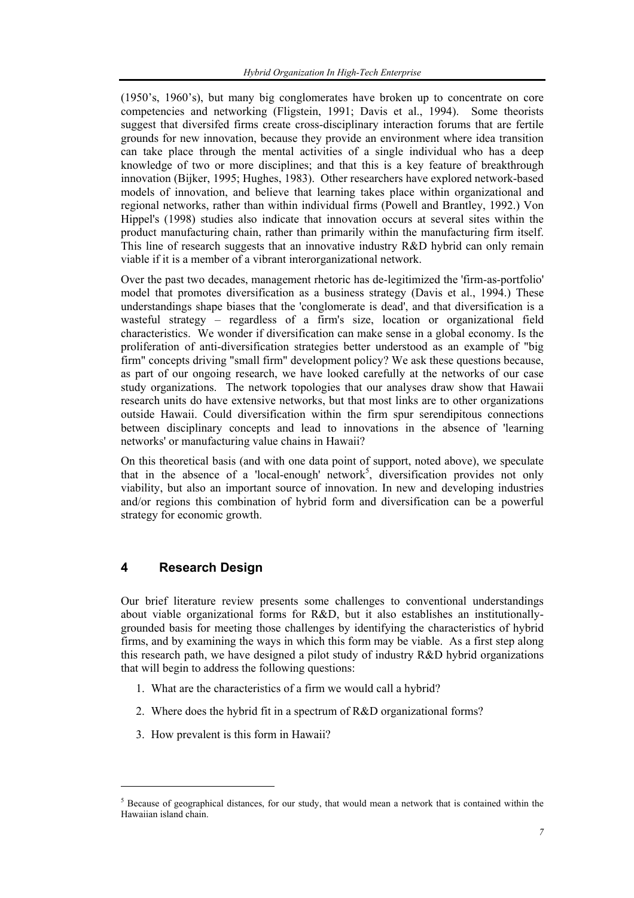(1950's, 1960's), but many big conglomerates have broken up to concentrate on core competencies and networking (Fligstein, 1991; Davis et al., 1994). Some theorists suggest that diversifed firms create cross-disciplinary interaction forums that are fertile grounds for new innovation, because they provide an environment where idea transition can take place through the mental activities of a single individual who has a deep knowledge of two or more disciplines; and that this is a key feature of breakthrough innovation (Bijker, 1995; Hughes, 1983). Other researchers have explored network-based models of innovation, and believe that learning takes place within organizational and regional networks, rather than within individual firms (Powell and Brantley, 1992.) Von Hippel's (1998) studies also indicate that innovation occurs at several sites within the product manufacturing chain, rather than primarily within the manufacturing firm itself. This line of research suggests that an innovative industry R&D hybrid can only remain viable if it is a member of a vibrant interorganizational network.

Over the past two decades, management rhetoric has de-legitimized the 'firm-as-portfolio' model that promotes diversification as a business strategy (Davis et al., 1994.) These understandings shape biases that the 'conglomerate is dead', and that diversification is a wasteful strategy – regardless of a firm's size, location or organizational field characteristics. We wonder if diversification can make sense in a global economy. Is the proliferation of anti-diversification strategies better understood as an example of "big firm" concepts driving "small firm" development policy? We ask these questions because, as part of our ongoing research, we have looked carefully at the networks of our case study organizations. The network topologies that our analyses draw show that Hawaii research units do have extensive networks, but that most links are to other organizations outside Hawaii. Could diversification within the firm spur serendipitous connections between disciplinary concepts and lead to innovations in the absence of 'learning networks' or manufacturing value chains in Hawaii?

On this theoretical basis (and with one data point of support, noted above), we speculate that in the absence of a 'local-enough' network<sup>5</sup>, diversification provides not only viability, but also an important source of innovation. In new and developing industries and/or regions this combination of hybrid form and diversification can be a powerful strategy for economic growth.

### **4 Research Design**

l

Our brief literature review presents some challenges to conventional understandings about viable organizational forms for R&D, but it also establishes an institutionallygrounded basis for meeting those challenges by identifying the characteristics of hybrid firms, and by examining the ways in which this form may be viable. As a first step along this research path, we have designed a pilot study of industry R&D hybrid organizations that will begin to address the following questions:

- 1. What are the characteristics of a firm we would call a hybrid?
- 2. Where does the hybrid fit in a spectrum of R&D organizational forms?
- 3. How prevalent is this form in Hawaii?

 $<sup>5</sup>$  Because of geographical distances, for our study, that would mean a network that is contained within the</sup> Hawaiian island chain.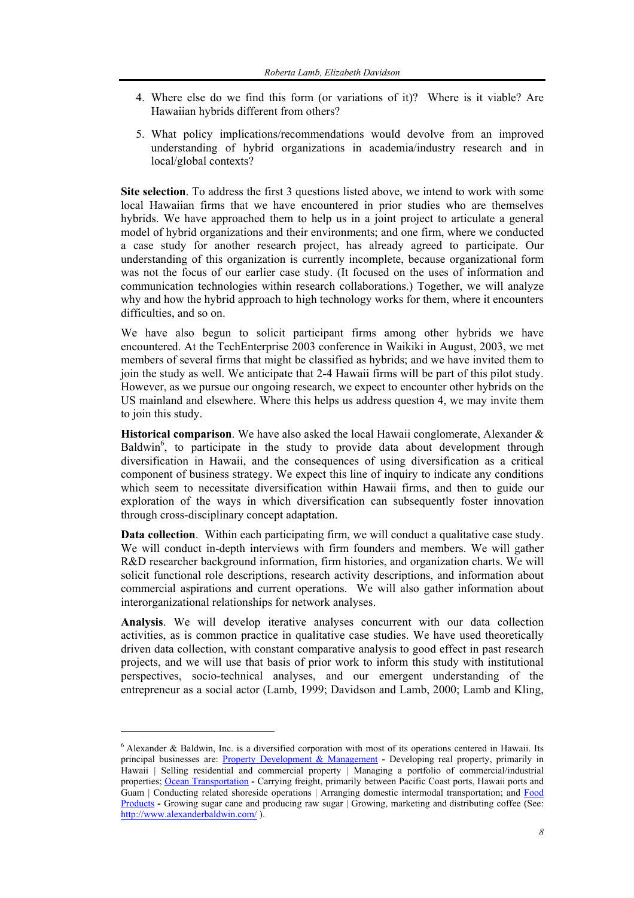- 4. Where else do we find this form (or variations of it)? Where is it viable? Are Hawaiian hybrids different from others?
- 5. What policy implications/recommendations would devolve from an improved understanding of hybrid organizations in academia/industry research and in local/global contexts?

**Site selection**. To address the first 3 questions listed above, we intend to work with some local Hawaiian firms that we have encountered in prior studies who are themselves hybrids. We have approached them to help us in a joint project to articulate a general model of hybrid organizations and their environments; and one firm, where we conducted a case study for another research project, has already agreed to participate. Our understanding of this organization is currently incomplete, because organizational form was not the focus of our earlier case study. (It focused on the uses of information and communication technologies within research collaborations.) Together, we will analyze why and how the hybrid approach to high technology works for them, where it encounters difficulties, and so on.

We have also begun to solicit participant firms among other hybrids we have encountered. At the TechEnterprise 2003 conference in Waikiki in August, 2003, we met members of several firms that might be classified as hybrids; and we have invited them to join the study as well. We anticipate that 2-4 Hawaii firms will be part of this pilot study. However, as we pursue our ongoing research, we expect to encounter other hybrids on the US mainland and elsewhere. Where this helps us address question 4, we may invite them to join this study.

**Historical comparison**. We have also asked the local Hawaii conglomerate, Alexander & Baldwin<sup>6</sup>, to participate in the study to provide data about development through diversification in Hawaii, and the consequences of using diversification as a critical component of business strategy. We expect this line of inquiry to indicate any conditions which seem to necessitate diversification within Hawaii firms, and then to guide our exploration of the ways in which diversification can subsequently foster innovation through cross-disciplinary concept adaptation.

**Data collection**. Within each participating firm, we will conduct a qualitative case study. We will conduct in-depth interviews with firm founders and members. We will gather R&D researcher background information, firm histories, and organization charts. We will solicit functional role descriptions, research activity descriptions, and information about commercial aspirations and current operations. We will also gather information about interorganizational relationships for network analyses.

**Analysis**. We will develop iterative analyses concurrent with our data collection activities, as is common practice in qualitative case studies. We have used theoretically driven data collection, with constant comparative analysis to good effect in past research projects, and we will use that basis of prior work to inform this study with institutional perspectives, socio-technical analyses, and our emergent understanding of the entrepreneur as a social actor (Lamb, 1999; Davidson and Lamb, 2000; Lamb and Kling,

l

 $6$  Alexander & Baldwin, Inc. is a diversified corporation with most of its operations centered in Hawaii. Its principal businesses are: Property Development & Management **-** Developing real property, primarily in Hawaii | Selling residential and commercial property | Managing a portfolio of commercial/industrial properties; Ocean Transportation **-** Carrying freight, primarily between Pacific Coast ports, Hawaii ports and Guam | Conducting related shoreside operations | Arranging domestic intermodal transportation; and Food Products **-** Growing sugar cane and producing raw sugar | Growing, marketing and distributing coffee (See: http://www.alexanderbaldwin.com/ ).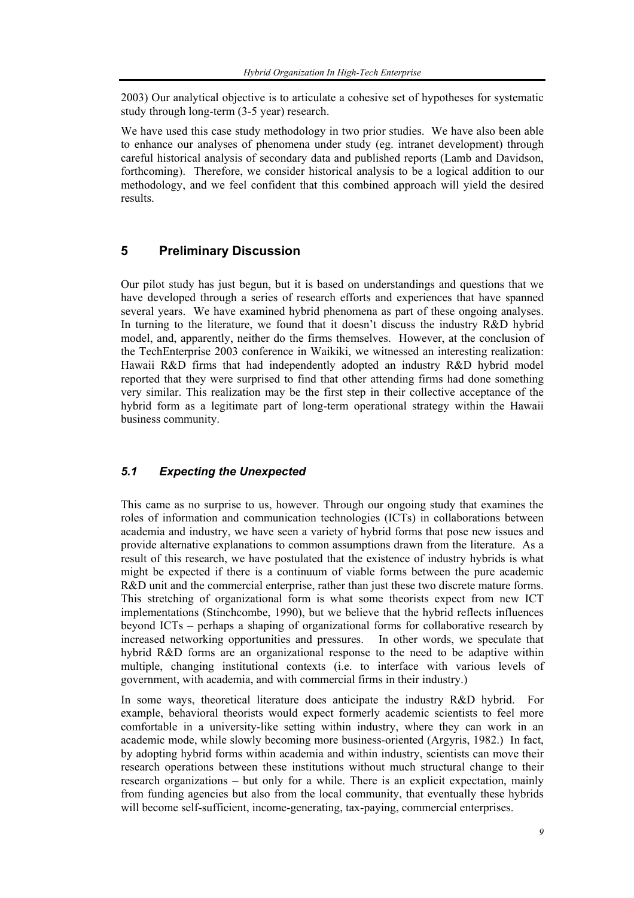2003) Our analytical objective is to articulate a cohesive set of hypotheses for systematic study through long-term (3-5 year) research.

We have used this case study methodology in two prior studies. We have also been able to enhance our analyses of phenomena under study (eg. intranet development) through careful historical analysis of secondary data and published reports (Lamb and Davidson, forthcoming). Therefore, we consider historical analysis to be a logical addition to our methodology, and we feel confident that this combined approach will yield the desired results.

## **5 Preliminary Discussion**

Our pilot study has just begun, but it is based on understandings and questions that we have developed through a series of research efforts and experiences that have spanned several years. We have examined hybrid phenomena as part of these ongoing analyses. In turning to the literature, we found that it doesn't discuss the industry R&D hybrid model, and, apparently, neither do the firms themselves. However, at the conclusion of the TechEnterprise 2003 conference in Waikiki, we witnessed an interesting realization: Hawaii R&D firms that had independently adopted an industry R&D hybrid model reported that they were surprised to find that other attending firms had done something very similar. This realization may be the first step in their collective acceptance of the hybrid form as a legitimate part of long-term operational strategy within the Hawaii business community.

#### *5.1 Expecting the Unexpected*

This came as no surprise to us, however. Through our ongoing study that examines the roles of information and communication technologies (ICTs) in collaborations between academia and industry, we have seen a variety of hybrid forms that pose new issues and provide alternative explanations to common assumptions drawn from the literature. As a result of this research, we have postulated that the existence of industry hybrids is what might be expected if there is a continuum of viable forms between the pure academic R&D unit and the commercial enterprise, rather than just these two discrete mature forms. This stretching of organizational form is what some theorists expect from new ICT implementations (Stinchcombe, 1990), but we believe that the hybrid reflects influences beyond ICTs – perhaps a shaping of organizational forms for collaborative research by increased networking opportunities and pressures. In other words, we speculate that hybrid R&D forms are an organizational response to the need to be adaptive within multiple, changing institutional contexts (i.e. to interface with various levels of government, with academia, and with commercial firms in their industry.)

In some ways, theoretical literature does anticipate the industry R&D hybrid. For example, behavioral theorists would expect formerly academic scientists to feel more comfortable in a university-like setting within industry, where they can work in an academic mode, while slowly becoming more business-oriented (Argyris, 1982.) In fact, by adopting hybrid forms within academia and within industry, scientists can move their research operations between these institutions without much structural change to their research organizations – but only for a while. There is an explicit expectation, mainly from funding agencies but also from the local community, that eventually these hybrids will become self-sufficient, income-generating, tax-paying, commercial enterprises.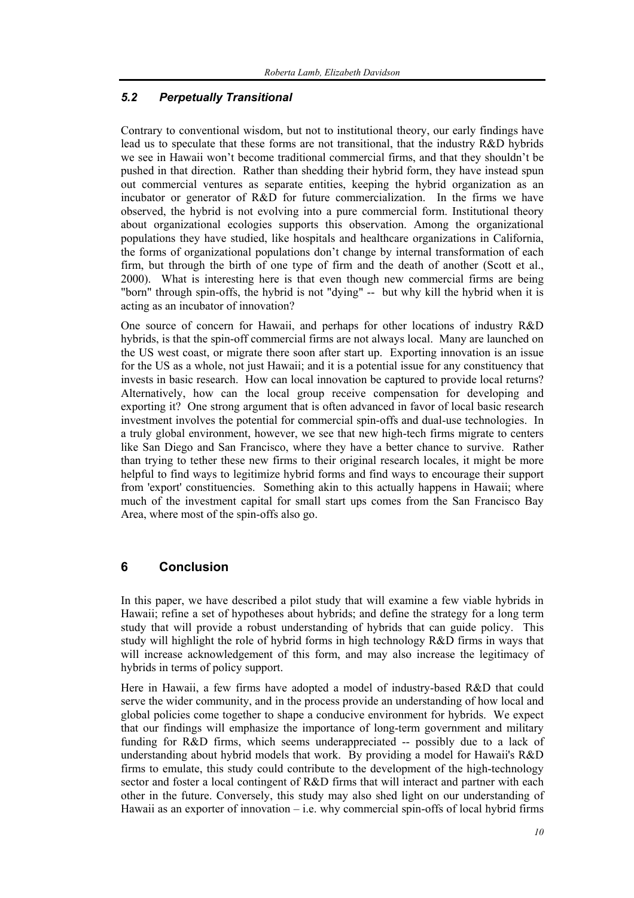#### *5.2 Perpetually Transitional*

Contrary to conventional wisdom, but not to institutional theory, our early findings have lead us to speculate that these forms are not transitional, that the industry R&D hybrids we see in Hawaii won't become traditional commercial firms, and that they shouldn't be pushed in that direction. Rather than shedding their hybrid form, they have instead spun out commercial ventures as separate entities, keeping the hybrid organization as an incubator or generator of R&D for future commercialization. In the firms we have observed, the hybrid is not evolving into a pure commercial form. Institutional theory about organizational ecologies supports this observation. Among the organizational populations they have studied, like hospitals and healthcare organizations in California, the forms of organizational populations don't change by internal transformation of each firm, but through the birth of one type of firm and the death of another (Scott et al., 2000). What is interesting here is that even though new commercial firms are being "born" through spin-offs, the hybrid is not "dying" -- but why kill the hybrid when it is acting as an incubator of innovation?

One source of concern for Hawaii, and perhaps for other locations of industry R&D hybrids, is that the spin-off commercial firms are not always local. Many are launched on the US west coast, or migrate there soon after start up. Exporting innovation is an issue for the US as a whole, not just Hawaii; and it is a potential issue for any constituency that invests in basic research. How can local innovation be captured to provide local returns? Alternatively, how can the local group receive compensation for developing and exporting it? One strong argument that is often advanced in favor of local basic research investment involves the potential for commercial spin-offs and dual-use technologies. In a truly global environment, however, we see that new high-tech firms migrate to centers like San Diego and San Francisco, where they have a better chance to survive. Rather than trying to tether these new firms to their original research locales, it might be more helpful to find ways to legitimize hybrid forms and find ways to encourage their support from 'export' constituencies. Something akin to this actually happens in Hawaii; where much of the investment capital for small start ups comes from the San Francisco Bay Area, where most of the spin-offs also go.

#### **6 Conclusion**

In this paper, we have described a pilot study that will examine a few viable hybrids in Hawaii; refine a set of hypotheses about hybrids; and define the strategy for a long term study that will provide a robust understanding of hybrids that can guide policy. This study will highlight the role of hybrid forms in high technology R&D firms in ways that will increase acknowledgement of this form, and may also increase the legitimacy of hybrids in terms of policy support.

Here in Hawaii, a few firms have adopted a model of industry-based R&D that could serve the wider community, and in the process provide an understanding of how local and global policies come together to shape a conducive environment for hybrids. We expect that our findings will emphasize the importance of long-term government and military funding for R&D firms, which seems underappreciated -- possibly due to a lack of understanding about hybrid models that work. By providing a model for Hawaii's R&D firms to emulate, this study could contribute to the development of the high-technology sector and foster a local contingent of R&D firms that will interact and partner with each other in the future. Conversely, this study may also shed light on our understanding of Hawaii as an exporter of innovation – i.e. why commercial spin-offs of local hybrid firms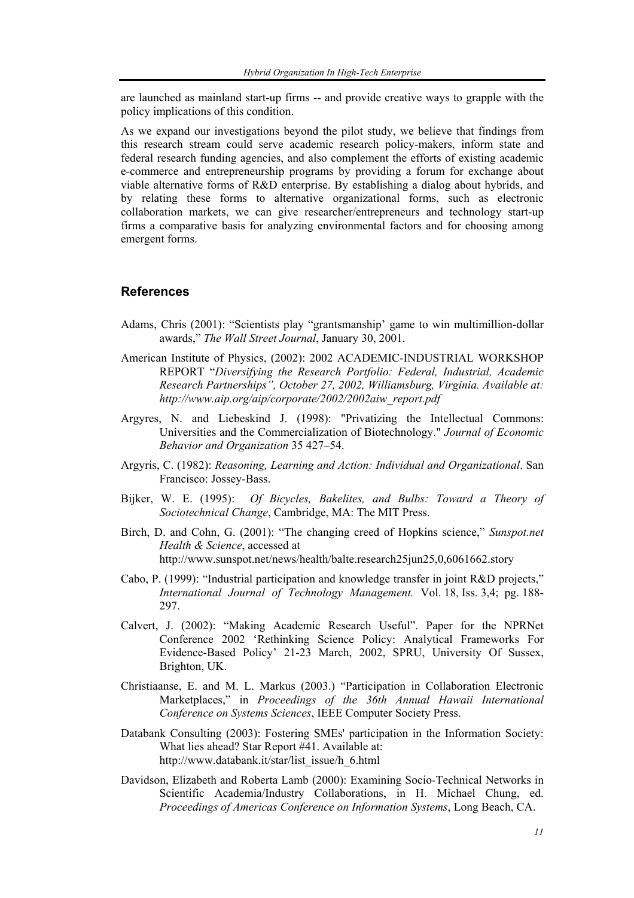are launched as mainland start-up firms -- and provide creative ways to grapple with the policy implications of this condition.

As we expand our investigations beyond the pilot study, we believe that findings from this research stream could serve academic research policy-makers, inform state and federal research funding agencies, and also complement the efforts of existing academic e-commerce and entrepreneurship programs by providing a forum for exchange about viable alternative forms of R&D enterprise. By establishing a dialog about hybrids, and by relating these forms to alternative organizational forms, such as electronic collaboration markets, we can give researcher/entrepreneurs and technology start-up firms a comparative basis for analyzing environmental factors and for choosing among emergent forms.

#### **References**

- Adams, Chris (2001): "Scientists play "grantsmanship' game to win multimillion-dollar awards," *The Wall Street Journal*, January 30, 2001.
- American Institute of Physics, (2002): 2002 ACADEMIC-INDUSTRIAL WORKSHOP REPORT "*Diversifying the Research Portfolio: Federal, Industrial, Academic Research Partnerships", October 27, 2002, Williamsburg, Virginia. Available at: http://www.aip.org/aip/corporate/2002/2002aiw\_report.pdf*
- Argyres, N. and Liebeskind J. (1998): "Privatizing the Intellectual Commons: Universities and the Commercialization of Biotechnology." *Journal of Economic Behavior and Organization* 35 427–54.
- Argyris, C. (1982): *Reasoning, Learning and Action: Individual and Organizational*. San Francisco: Jossey-Bass.
- Bijker, W. E. (1995): *Of Bicycles, Bakelites, and Bulbs: Toward a Theory of Sociotechnical Change*, Cambridge, MA: The MIT Press.
- Birch, D. and Cohn, G. (2001): "The changing creed of Hopkins science," *Sunspot.net Health & Science*, accessed at http://www.sunspot.net/news/health/balte.research25jun25,0,6061662.story
- Cabo, P. (1999): "Industrial participation and knowledge transfer in joint R&D projects," *International Journal of Technology Management.* Vol. 18, Iss. 3,4; pg. 188- 297.
- Calvert, J. (2002): "Making Academic Research Useful". Paper for the NPRNet Conference 2002 'Rethinking Science Policy: Analytical Frameworks For Evidence-Based Policy' 21-23 March, 2002, SPRU, University Of Sussex, Brighton, UK.
- Christiaanse, E. and M. L. Markus (2003.) "Participation in Collaboration Electronic Marketplaces," in *Proceedings of the 36th Annual Hawaii International Conference on Systems Sciences*, IEEE Computer Society Press.
- Databank Consulting (2003): Fostering SMEs' participation in the Information Society: What lies ahead? Star Report #41. Available at: http://www.databank.it/star/list\_issue/h\_6.html
- Davidson, Elizabeth and Roberta Lamb (2000): Examining Socio-Technical Networks in Scientific Academia/Industry Collaborations, in H. Michael Chung, ed. *Proceedings of Americas Conference on Information Systems*, Long Beach, CA.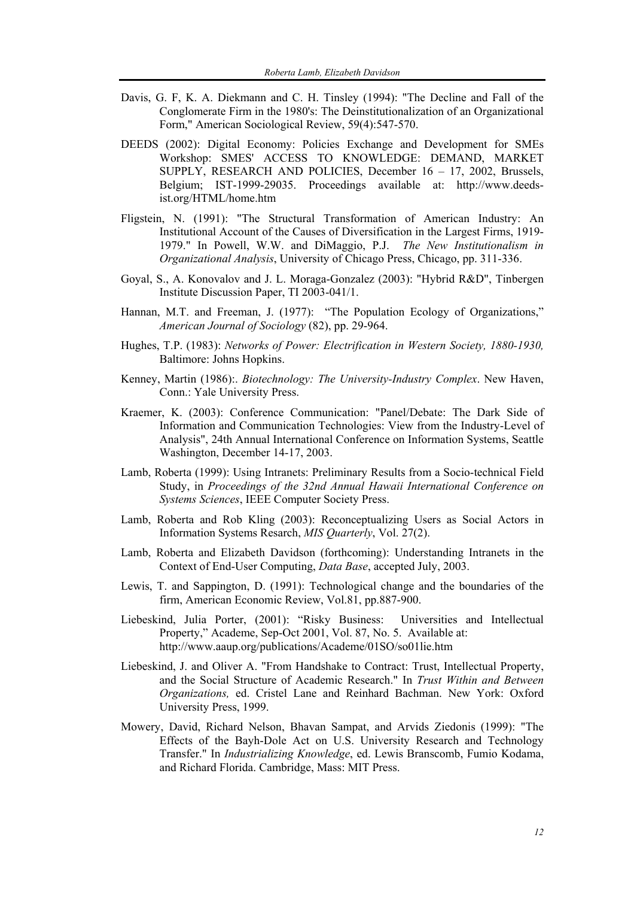- Davis, G. F, K. A. Diekmann and C. H. Tinsley (1994): "The Decline and Fall of the Conglomerate Firm in the 1980's: The Deinstitutionalization of an Organizational Form," American Sociological Review, 59(4):547-570.
- DEEDS (2002): Digital Economy: Policies Exchange and Development for SMEs Workshop: SMES' ACCESS TO KNOWLEDGE: DEMAND, MARKET SUPPLY, RESEARCH AND POLICIES, December 16 – 17, 2002, Brussels, Belgium; IST-1999-29035. Proceedings available at: http://www.deedsist.org/HTML/home.htm
- Fligstein, N. (1991): "The Structural Transformation of American Industry: An Institutional Account of the Causes of Diversification in the Largest Firms, 1919- 1979." In Powell, W.W. and DiMaggio, P.J. *The New Institutionalism in Organizational Analysis*, University of Chicago Press, Chicago, pp. 311-336.
- Goyal, S., A. Konovalov and J. L. Moraga-Gonzalez (2003): "Hybrid R&D", Tinbergen Institute Discussion Paper, TI 2003-041/1.
- Hannan, M.T. and Freeman, J. (1977): "The Population Ecology of Organizations," *American Journal of Sociology* (82), pp. 29-964.
- Hughes, T.P. (1983): *Networks of Power: Electrification in Western Society, 1880-1930,* Baltimore: Johns Hopkins.
- Kenney, Martin (1986):. *Biotechnology: The University-Industry Complex*. New Haven, Conn.: Yale University Press.
- Kraemer, K. (2003): Conference Communication: "Panel/Debate: The Dark Side of Information and Communication Technologies: View from the Industry-Level of Analysis", 24th Annual International Conference on Information Systems, Seattle Washington, December 14-17, 2003.
- Lamb, Roberta (1999): Using Intranets: Preliminary Results from a Socio-technical Field Study, in *Proceedings of the 32nd Annual Hawaii International Conference on Systems Sciences*, IEEE Computer Society Press.
- Lamb, Roberta and Rob Kling (2003): Reconceptualizing Users as Social Actors in Information Systems Resarch, *MIS Quarterly*, Vol. 27(2).
- Lamb, Roberta and Elizabeth Davidson (forthcoming): Understanding Intranets in the Context of End-User Computing, *Data Base*, accepted July, 2003.
- Lewis, T. and Sappington, D. (1991): Technological change and the boundaries of the firm, American Economic Review, Vol.81, pp.887-900.
- Liebeskind, Julia Porter, (2001): "Risky Business: Universities and Intellectual Property," Academe, Sep-Oct 2001, Vol. 87, No. 5. Available at: http://www.aaup.org/publications/Academe/01SO/so01lie.htm
- Liebeskind, J. and Oliver A. "From Handshake to Contract: Trust, Intellectual Property, and the Social Structure of Academic Research." In *Trust Within and Between Organizations,* ed. Cristel Lane and Reinhard Bachman. New York: Oxford University Press, 1999.
- Mowery, David, Richard Nelson, Bhavan Sampat, and Arvids Ziedonis (1999): "The Effects of the Bayh-Dole Act on U.S. University Research and Technology Transfer." In *Industrializing Knowledge*, ed. Lewis Branscomb, Fumio Kodama, and Richard Florida. Cambridge, Mass: MIT Press.